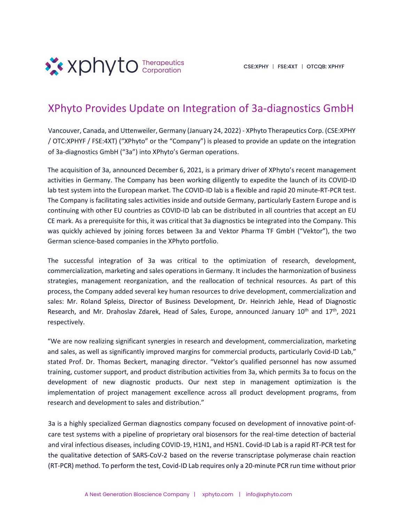

## XPhyto Provides Update on Integration of 3a-diagnostics GmbH

Vancouver, Canada, and Uttenweiler, Germany (January 24, 2022) - XPhyto Therapeutics Corp. (CSE:XPHY / OTC:XPHYF / FSE:4XT) ("XPhyto" or the "Company") is pleased to provide an update on the integration of 3a-diagnostics GmbH ("3a") into XPhyto's German operations.

The acquisition of 3a, announced December 6, 2021, is a primary driver of XPhyto's recent management activities in Germany. The Company has been working diligently to expedite the launch of its COVID-ID lab test system into the European market. The COVID-ID lab is a flexible and rapid 20 minute-RT-PCR test. The Company is facilitating sales activities inside and outside Germany, particularly Eastern Europe and is continuing with other EU countries as COVID-ID lab can be distributed in all countries that accept an EU CE mark. As a prerequisite for this, it was critical that 3a diagnostics be integrated into the Company. This was quickly achieved by joining forces between 3a and Vektor Pharma TF GmbH ("Vektor"), the two German science-based companies in the XPhyto portfolio.

The successful integration of 3a was critical to the optimization of research, development, commercialization, marketing and sales operations in Germany. It includes the harmonization of business strategies, management reorganization, and the reallocation of technical resources. As part of this process, the Company added several key human resources to drive development, commercialization and sales: Mr. Roland Spleiss, Director of Business Development, Dr. Heinrich Jehle, Head of Diagnostic Research, and Mr. Drahoslav Zdarek, Head of Sales, Europe, announced January 10<sup>th</sup> and 17<sup>th</sup>, 2021 respectively.

"We are now realizing significant synergies in research and development, commercialization, marketing and sales, as well as significantly improved margins for commercial products, particularly Covid-ID Lab," stated Prof. Dr. Thomas Beckert, managing director. "Vektor's qualified personnel has now assumed training, customer support, and product distribution activities from 3a, which permits 3a to focus on the development of new diagnostic products. Our next step in management optimization is the implementation of project management excellence across all product development programs, from research and development to sales and distribution."

3a is a highly specialized German diagnostics company focused on development of innovative point-ofcare test systems with a pipeline of proprietary oral biosensors for the real-time detection of bacterial and viral infectious diseases, including COVID-19, H1N1, and H5N1. Covid-ID Lab is a rapid RT-PCR test for the qualitative detection of SARS-CoV-2 based on the reverse transcriptase polymerase chain reaction (RT-PCR) method. To perform the test, Covid-ID Lab requires only a 20-minute PCR run time without prior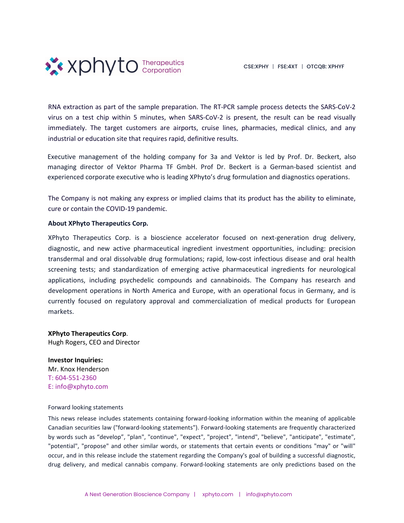

RNA extraction as part of the sample preparation. The RT-PCR sample process detects the SARS-CoV-2 virus on a test chip within 5 minutes, when SARS-CoV-2 is present, the result can be read visually immediately. The target customers are airports, cruise lines, pharmacies, medical clinics, and any industrial or education site that requires rapid, definitive results.

Executive management of the holding company for 3a and Vektor is led by Prof. Dr. Beckert, also managing director of Vektor Pharma TF GmbH. Prof Dr. Beckert is a German-based scientist and experienced corporate executive who is leading XPhyto's drug formulation and diagnostics operations.

The Company is not making any express or implied claims that its product has the ability to eliminate, cure or contain the COVID-19 pandemic.

## **About XPhyto Therapeutics Corp.**

XPhyto Therapeutics Corp. is a bioscience accelerator focused on next-generation drug delivery, diagnostic, and new active pharmaceutical ingredient investment opportunities, including: precision transdermal and oral dissolvable drug formulations; rapid, low-cost infectious disease and oral health screening tests; and standardization of emerging active pharmaceutical ingredients for neurological applications, including psychedelic compounds and cannabinoids. The Company has research and development operations in North America and Europe, with an operational focus in Germany, and is currently focused on regulatory approval and commercialization of medical products for European markets.

**XPhyto Therapeutics Corp**. Hugh Rogers, CEO and Director

**Investor Inquiries:**  Mr. Knox Henderson T: 604-551-2360 E: info@xphyto.com

## Forward looking statements

This news release includes statements containing forward-looking information within the meaning of applicable Canadian securities law ("forward-looking statements"). Forward-looking statements are frequently characterized by words such as "develop", "plan", "continue", "expect", "project", "intend", "believe", "anticipate", "estimate", "potential", "propose" and other similar words, or statements that certain events or conditions "may" or "will" occur, and in this release include the statement regarding the Company's goal of building a successful diagnostic, drug delivery, and medical cannabis company. Forward-looking statements are only predictions based on the